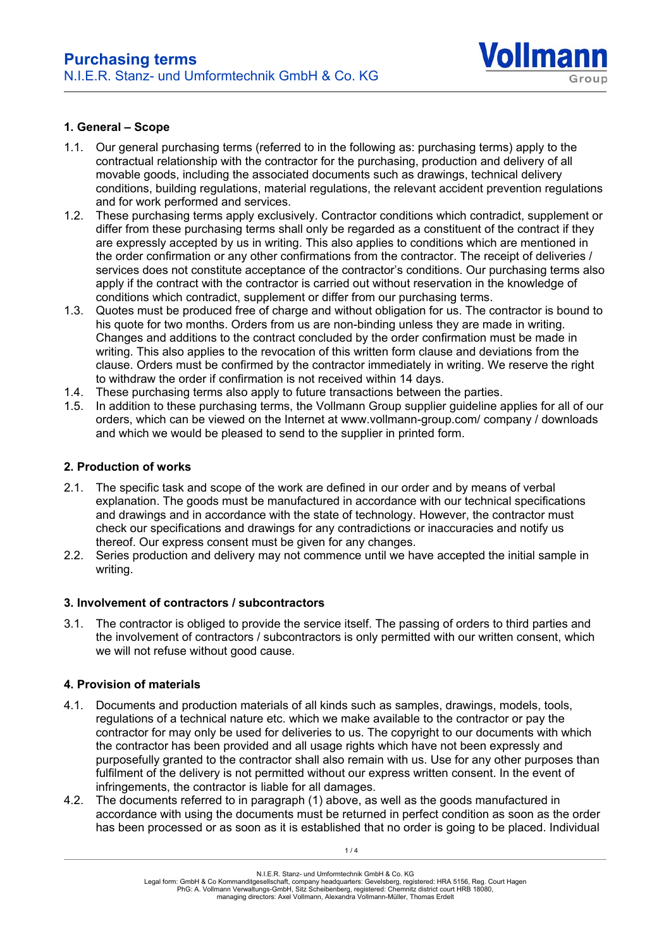

### **1. General – Scope**

- 1.1. Our general purchasing terms (referred to in the following as: purchasing terms) apply to the contractual relationship with the contractor for the purchasing, production and delivery of all movable goods, including the associated documents such as drawings, technical delivery conditions, building regulations, material regulations, the relevant accident prevention regulations and for work performed and services.
- 1.2. These purchasing terms apply exclusively. Contractor conditions which contradict, supplement or differ from these purchasing terms shall only be regarded as a constituent of the contract if they are expressly accepted by us in writing. This also applies to conditions which are mentioned in the order confirmation or any other confirmations from the contractor. The receipt of deliveries / services does not constitute acceptance of the contractor's conditions. Our purchasing terms also apply if the contract with the contractor is carried out without reservation in the knowledge of conditions which contradict, supplement or differ from our purchasing terms.
- 1.3. Quotes must be produced free of charge and without obligation for us. The contractor is bound to his quote for two months. Orders from us are non-binding unless they are made in writing. Changes and additions to the contract concluded by the order confirmation must be made in writing. This also applies to the revocation of this written form clause and deviations from the clause. Orders must be confirmed by the contractor immediately in writing. We reserve the right to withdraw the order if confirmation is not received within 14 days.
- 1.4. These purchasing terms also apply to future transactions between the parties.
- 1.5. In addition to these purchasing terms, the Vollmann Group supplier guideline applies for all of our orders, which can be viewed on the Internet at www.vollmann-group.com/ company / downloads and which we would be pleased to send to the supplier in printed form.

### **2. Production of works**

- 2.1. The specific task and scope of the work are defined in our order and by means of verbal explanation. The goods must be manufactured in accordance with our technical specifications and drawings and in accordance with the state of technology. However, the contractor must check our specifications and drawings for any contradictions or inaccuracies and notify us thereof. Our express consent must be given for any changes.
- 2.2. Series production and delivery may not commence until we have accepted the initial sample in writing.

### **3. Involvement of contractors / subcontractors**

3.1. The contractor is obliged to provide the service itself. The passing of orders to third parties and the involvement of contractors / subcontractors is only permitted with our written consent, which we will not refuse without good cause.

### **4. Provision of materials**

- 4.1. Documents and production materials of all kinds such as samples, drawings, models, tools, regulations of a technical nature etc. which we make available to the contractor or pay the contractor for may only be used for deliveries to us. The copyright to our documents with which the contractor has been provided and all usage rights which have not been expressly and purposefully granted to the contractor shall also remain with us. Use for any other purposes than fulfilment of the delivery is not permitted without our express written consent. In the event of infringements, the contractor is liable for all damages.
- 4.2. The documents referred to in paragraph (1) above, as well as the goods manufactured in accordance with using the documents must be returned in perfect condition as soon as the order has been processed or as soon as it is established that no order is going to be placed. Individual

N.I.E.R. Stanz- und Umformtechnik GmbH & Co. KG

Legal form: GmbH & Co Kommanditgesellschaft, company headquarters: Gevelsberg, registered: HRA 5156, Reg. Court Hagen PhG: A. Vollmann Verwaltungs-GmbH, Sitz Scheibenberg, registered: Chemnitz district court HRB 18080,

managing directors: Axel Vollmann, Alexandra Vollmann-Müller, Thomas Erdelt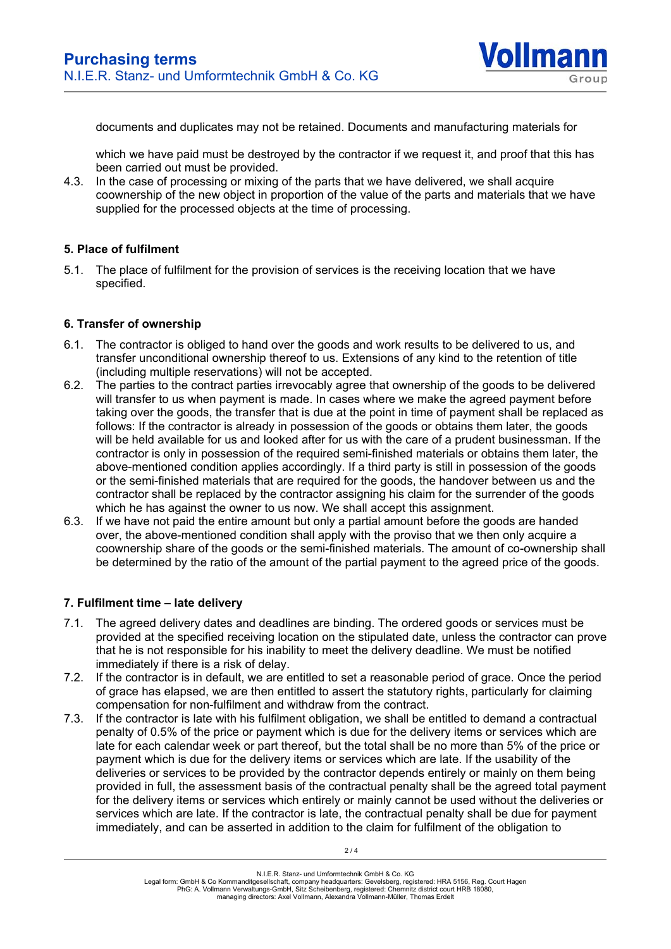

documents and duplicates may not be retained. Documents and manufacturing materials for

which we have paid must be destroyed by the contractor if we request it, and proof that this has been carried out must be provided.

4.3. In the case of processing or mixing of the parts that we have delivered, we shall acquire coownership of the new object in proportion of the value of the parts and materials that we have supplied for the processed objects at the time of processing.

### **5. Place of fulfilment**

5.1. The place of fulfilment for the provision of services is the receiving location that we have specified.

### **6. Transfer of ownership**

- 6.1. The contractor is obliged to hand over the goods and work results to be delivered to us, and transfer unconditional ownership thereof to us. Extensions of any kind to the retention of title (including multiple reservations) will not be accepted.
- 6.2. The parties to the contract parties irrevocably agree that ownership of the goods to be delivered will transfer to us when payment is made. In cases where we make the agreed payment before taking over the goods, the transfer that is due at the point in time of payment shall be replaced as follows: If the contractor is already in possession of the goods or obtains them later, the goods will be held available for us and looked after for us with the care of a prudent businessman. If the contractor is only in possession of the required semi-finished materials or obtains them later, the above-mentioned condition applies accordingly. If a third party is still in possession of the goods or the semi-finished materials that are required for the goods, the handover between us and the contractor shall be replaced by the contractor assigning his claim for the surrender of the goods which he has against the owner to us now. We shall accept this assignment.
- 6.3. If we have not paid the entire amount but only a partial amount before the goods are handed over, the above-mentioned condition shall apply with the proviso that we then only acquire a coownership share of the goods or the semi-finished materials. The amount of co-ownership shall be determined by the ratio of the amount of the partial payment to the agreed price of the goods.

### **7. Fulfilment time – late delivery**

- 7.1. The agreed delivery dates and deadlines are binding. The ordered goods or services must be provided at the specified receiving location on the stipulated date, unless the contractor can prove that he is not responsible for his inability to meet the delivery deadline. We must be notified immediately if there is a risk of delay.
- 7.2. If the contractor is in default, we are entitled to set a reasonable period of grace. Once the period of grace has elapsed, we are then entitled to assert the statutory rights, particularly for claiming compensation for non-fulfilment and withdraw from the contract.
- 7.3. If the contractor is late with his fulfilment obligation, we shall be entitled to demand a contractual penalty of 0.5% of the price or payment which is due for the delivery items or services which are late for each calendar week or part thereof, but the total shall be no more than 5% of the price or payment which is due for the delivery items or services which are late. If the usability of the deliveries or services to be provided by the contractor depends entirely or mainly on them being provided in full, the assessment basis of the contractual penalty shall be the agreed total payment for the delivery items or services which entirely or mainly cannot be used without the deliveries or services which are late. If the contractor is late, the contractual penalty shall be due for payment immediately, and can be asserted in addition to the claim for fulfilment of the obligation to

N.I.E.R. Stanz- und Umformtechnik GmbH & Co. KG

Legal form: GmbH & Co Kommanditgesellschaft, company headquarters: Gevelsberg, registered: HRA 5156, Reg. Court Hagen PhG: A. Vollmann Verwaltungs-GmbH, Sitz Scheibenberg, registered: Chemnitz district court HRB 18080,

managing directors: Axel Vollmann, Alexandra Vollmann-Müller, Thomas Erdelt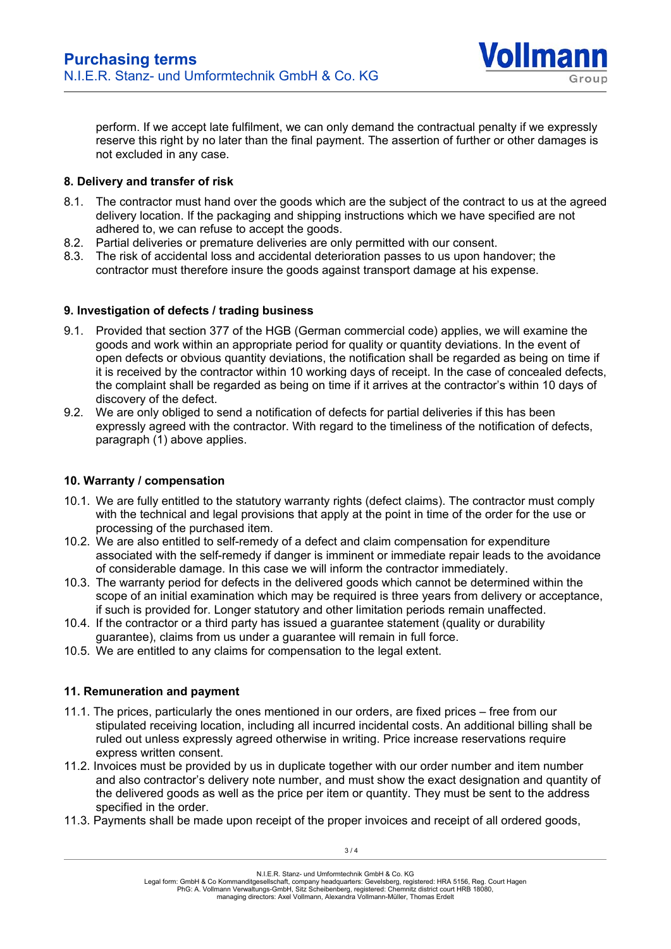

perform. If we accept late fulfilment, we can only demand the contractual penalty if we expressly reserve this right by no later than the final payment. The assertion of further or other damages is not excluded in any case.

## **8. Delivery and transfer of risk**

- 8.1. The contractor must hand over the goods which are the subject of the contract to us at the agreed delivery location. If the packaging and shipping instructions which we have specified are not adhered to, we can refuse to accept the goods.
- 8.2. Partial deliveries or premature deliveries are only permitted with our consent.
- 8.3. The risk of accidental loss and accidental deterioration passes to us upon handover; the contractor must therefore insure the goods against transport damage at his expense.

## **9. Investigation of defects / trading business**

- 9.1. Provided that section 377 of the HGB (German commercial code) applies, we will examine the goods and work within an appropriate period for quality or quantity deviations. In the event of open defects or obvious quantity deviations, the notification shall be regarded as being on time if it is received by the contractor within 10 working days of receipt. In the case of concealed defects, the complaint shall be regarded as being on time if it arrives at the contractor's within 10 days of discovery of the defect.
- 9.2. We are only obliged to send a notification of defects for partial deliveries if this has been expressly agreed with the contractor. With regard to the timeliness of the notification of defects, paragraph (1) above applies.

## **10. Warranty / compensation**

- 10.1. We are fully entitled to the statutory warranty rights (defect claims). The contractor must comply with the technical and legal provisions that apply at the point in time of the order for the use or processing of the purchased item.
- 10.2. We are also entitled to self-remedy of a defect and claim compensation for expenditure associated with the self-remedy if danger is imminent or immediate repair leads to the avoidance of considerable damage. In this case we will inform the contractor immediately.
- 10.3. The warranty period for defects in the delivered goods which cannot be determined within the scope of an initial examination which may be required is three years from delivery or acceptance, if such is provided for. Longer statutory and other limitation periods remain unaffected.
- 10.4. If the contractor or a third party has issued a guarantee statement (quality or durability guarantee), claims from us under a guarantee will remain in full force.
- 10.5. We are entitled to any claims for compensation to the legal extent.

# **11. Remuneration and payment**

- 11.1. The prices, particularly the ones mentioned in our orders, are fixed prices free from our stipulated receiving location, including all incurred incidental costs. An additional billing shall be ruled out unless expressly agreed otherwise in writing. Price increase reservations require express written consent.
- 11.2. Invoices must be provided by us in duplicate together with our order number and item number and also contractor's delivery note number, and must show the exact designation and quantity of the delivered goods as well as the price per item or quantity. They must be sent to the address specified in the order.
- 11.3. Payments shall be made upon receipt of the proper invoices and receipt of all ordered goods,

Legal form: GmbH & Co Kommanditgesellschaft, company headquarters: Gevelsberg, registered: HRA 5156, Reg. Court Hagen PhG: A. Vollmann Verwaltungs-GmbH, Sitz Scheibenberg, registered: Chemnitz district court HRB 18080,

managing directors: Axel Vollmann, Alexandra Vollmann-Müller, Thomas Erdelt